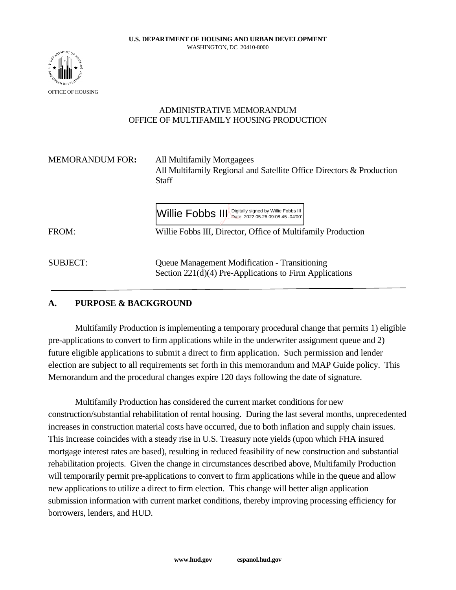

#### ADMINISTRATIVE MEMORANDUM OFFICE OF MULTIFAMILY HOUSING PRODUCTION

| <b>MEMORANDUM FOR:</b> | All Multifamily Mortgagees<br>All Multifamily Regional and Satellite Office Directors & Production<br><b>Staff</b>                                          |  |  |  |  |
|------------------------|-------------------------------------------------------------------------------------------------------------------------------------------------------------|--|--|--|--|
| FROM:                  | Digitally signed by Willie Fobbs III<br>Willie Fobbs Ⅲ<br>Date: 2022.05.26 09:08:45 -04'00'<br>Willie Fobbs III, Director, Office of Multifamily Production |  |  |  |  |
| <b>SUBJECT:</b>        | Queue Management Modification - Transitioning<br>Section $221(d)(4)$ Pre-Applications to Firm Applications                                                  |  |  |  |  |

### **A. PURPOSE & BACKGROUND**

Multifamily Production is implementing a temporary procedural change that permits 1) eligible pre-applications to convert to firm applications while in the underwriter assignment queue and 2) future eligible applications to submit a direct to firm application. Such permission and lender election are subject to all requirements set forth in this memorandum and MAP Guide policy. This Memorandum and the procedural changes expire 120 days following the date of signature.

Multifamily Production has considered the current market conditions for new construction/substantial rehabilitation of rental housing. During the last several months, unprecedented increases in construction material costs have occurred, due to both inflation and supply chain issues. This increase coincides with a steady rise in U.S. Treasury note yields (upon which FHA insured mortgage interest rates are based), resulting in reduced feasibility of new construction and substantial rehabilitation projects. Given the change in circumstances described above, Multifamily Production will temporarily permit pre-applications to convert to firm applications while in the queue and allow new applications to utilize a direct to firm election. This change will better align application submission information with current market conditions, thereby improving processing efficiency for borrowers, lenders, and HUD.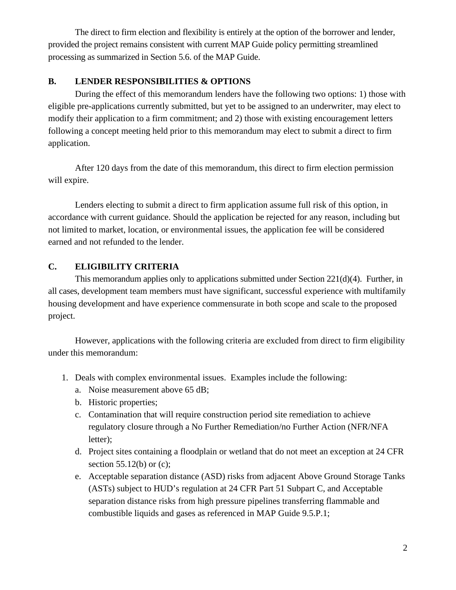The direct to firm election and flexibility is entirely at the option of the borrower and lender, provided the project remains consistent with current MAP Guide policy permitting streamlined processing as summarized in Section 5.6. of the MAP Guide.

## **B. LENDER RESPONSIBILITIES & OPTIONS**

During the effect of this memorandum lenders have the following two options: 1) those with eligible pre-applications currently submitted, but yet to be assigned to an underwriter, may elect to modify their application to a firm commitment; and 2) those with existing encouragement letters following a concept meeting held prior to this memorandum may elect to submit a direct to firm application.

After 120 days from the date of this memorandum, this direct to firm election permission will expire.

Lenders electing to submit a direct to firm application assume full risk of this option, in accordance with current guidance. Should the application be rejected for any reason, including but not limited to market, location, or environmental issues, the application fee will be considered earned and not refunded to the lender.

# **C. ELIGIBILITY CRITERIA**

This memorandum applies only to applications submitted under Section 221(d)(4). Further, in all cases, development team members must have significant, successful experience with multifamily housing development and have experience commensurate in both scope and scale to the proposed project.

However, applications with the following criteria are excluded from direct to firm eligibility under this memorandum:

- 1. Deals with complex environmental issues. Examples include the following:
	- a. Noise measurement above 65 dB;
	- b. Historic properties;
	- c. Contamination that will require construction period site remediation to achieve regulatory closure through a No Further Remediation/no Further Action (NFR/NFA letter);
	- d. Project sites containing a floodplain or wetland that do not meet an exception at 24 CFR section  $55.12(b)$  or (c);
	- e. Acceptable separation distance (ASD) risks from adjacent Above Ground Storage Tanks (ASTs) subject to HUD's regulation at 24 CFR Part 51 Subpart C, and Acceptable separation distance risks from high pressure pipelines transferring flammable and combustible liquids and gases as referenced in MAP Guide 9.5.P.1;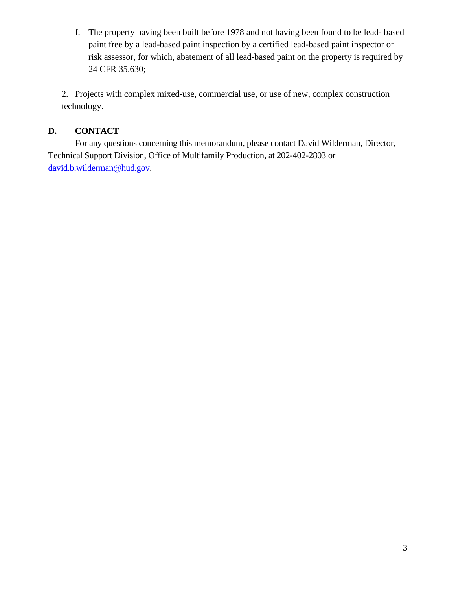f. The property having been built before 1978 and not having been found to be lead- based paint free by a lead-based paint inspection by a certified lead-based paint inspector or risk assessor, for which, abatement of all lead-based paint on the property is required by 24 CFR 35.630;

2. Projects with complex mixed-use, commercial use, or use of new, complex construction technology.

# **D. CONTACT**

For any questions concerning this memorandum, please contact David Wilderman, Director, Technical Support Division, Office of Multifamily Production, at 202-402-2803 or [david.b.wilderman@hud.gov.](mailto:david.b.wilderman@hud.gov)